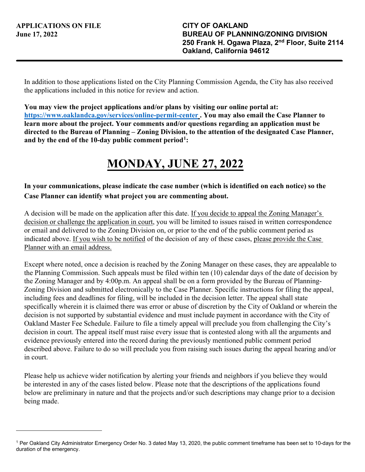In addition to those applications listed on the City Planning Commission Agenda, the City has also received the applications included in this notice for review and action.

**You may view the project applications and/or plans by visiting our online portal at: <https://www.oaklandca.gov/services/online-permit-center>. You may also email the Case Planner to learn more about the project. Your comments and/or questions regarding an application must be directed to the Bureau of Planning – Zoning Division, to the attention of the designated Case Planner, and by the end of the 10-day public comment period[1](#page-0-0):** 

## **MONDAY, JUNE 27, 2022**

## **In your communications, please indicate the case number (which is identified on each notice) so the Case Planner can identify what project you are commenting about.**

A decision will be made on the application after this date. If you decide to appeal the Zoning Manager's decision or challenge the application in court, you will be limited to issues raised in written correspondence or email and delivered to the Zoning Division on, or prior to the end of the public comment period as indicated above. If you wish to be notified of the decision of any of these cases, please provide the Case Planner with an email address.

Except where noted, once a decision is reached by the Zoning Manager on these cases, they are appealable to the Planning Commission. Such appeals must be filed within ten (10) calendar days of the date of decision by the Zoning Manager and by 4:00p.m. An appeal shall be on a form provided by the Bureau of Planning-Zoning Division and submitted electronically to the Case Planner. Specific instructions for filing the appeal, including fees and deadlines for filing, will be included in the decision letter. The appeal shall state specifically wherein it is claimed there was error or abuse of discretion by the City of Oakland or wherein the decision is not supported by substantial evidence and must include payment in accordance with the City of Oakland Master Fee Schedule. Failure to file a timely appeal will preclude you from challenging the City's decision in court. The appeal itself must raise every issue that is contested along with all the arguments and evidence previously entered into the record during the previously mentioned public comment period described above. Failure to do so will preclude you from raising such issues during the appeal hearing and/or in court.

Please help us achieve wider notification by alerting your friends and neighbors if you believe they would be interested in any of the cases listed below. Please note that the descriptions of the applications found below are preliminary in nature and that the projects and/or such descriptions may change prior to a decision being made.

<span id="page-0-0"></span><sup>1</sup> Per Oakland City Administrator Emergency Order No. 3 dated May 13, 2020, the public comment timeframe has been set to 10-days for the duration of the emergency.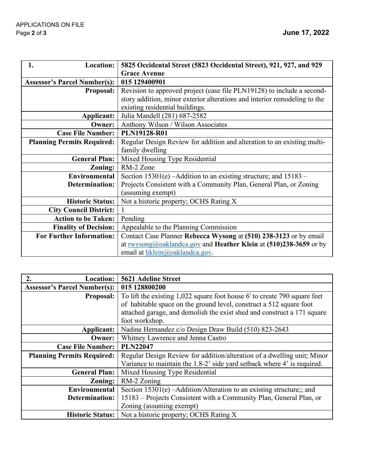| <b>Location:</b><br>1.              | 5825 Occidental Street (5823 Occidental Street), 921, 927, and 929        |
|-------------------------------------|---------------------------------------------------------------------------|
|                                     | <b>Grace Avenue</b>                                                       |
| <b>Assessor's Parcel Number(s):</b> | 015 129400901                                                             |
| <b>Proposal:</b>                    | Revision to approved project (case file PLN19128) to include a second-    |
|                                     | story addition, minor exterior alterations and interior remodeling to the |
|                                     | existing residential buildings.                                           |
| Applicant:                          | Julia Mandell (281) 687-2582                                              |
| Owner:                              | Anthony Wilson / Wilson Associates                                        |
| <b>Case File Number:</b>            | <b>PLN19128-R01</b>                                                       |
| <b>Planning Permits Required:</b>   | Regular Design Review for addition and alteration to an existing multi-   |
|                                     | family dwelling                                                           |
| <b>General Plan:</b>                | Mixed Housing Type Residential                                            |
| Zoning:                             | RM-2 Zone                                                                 |
| Environmental                       | Section $15301(e)$ -Addition to an existing structure; and $15183$ -      |
| Determination:                      | Projects Consistent with a Community Plan, General Plan, or Zoning        |
|                                     | (assuming exempt)                                                         |
| <b>Historic Status:</b>             | Not a historic property; OCHS Rating X                                    |
| <b>City Council District:</b>       |                                                                           |
| <b>Action to be Taken:</b>          | Pending                                                                   |
| <b>Finality of Decision:</b>        | Appealable to the Planning Commission                                     |
| <b>For Further Information:</b>     | Contact Case Planner Rebecca Wysong at (510) 238-3123 or by email         |
|                                     | at <u>rwysong@oaklandca.gov</u> and Heather Klein at (510)238-3659 or by  |
|                                     | email at hklein@oaklandca.gov.                                            |

| 2.<br><b>Location:</b>              | <b>5621 Adeline Street</b>                                                |
|-------------------------------------|---------------------------------------------------------------------------|
| <b>Assessor's Parcel Number(s):</b> | 015 128800200                                                             |
| <b>Proposal:</b>                    | To lift the existing 1,022 square foot house 6' to create 790 square feet |
|                                     | of habitable space on the ground level, construct a 512 square foot       |
|                                     | attached garage, and demolish the exist shed and construct a 171 square   |
|                                     | foot workshop.                                                            |
| Applicant:                          | Nadine Hernandez c/o Design Draw Build (510) 823-2643                     |
| Owner:                              | Whitney Lawrence and Jenna Castro                                         |
| <b>Case File Number:</b>            | <b>PLN22047</b>                                                           |
| <b>Planning Permits Required:</b>   | Regular Design Review for addition/alteration of a dwelling unit; Minor   |
|                                     | Variance to maintain the 1.8-2' side yard setback where 4' is required.   |
| <b>General Plan:</b>                | Mixed Housing Type Residential                                            |
| Zoning:                             | RM-2 Zoning                                                               |
| Environmental                       | Section $15301(e)$ -Addition/Alteration to an existing structure;; and    |
| Determination:                      | 15183 – Projects Consistent with a Community Plan, General Plan, or       |
|                                     | Zoning (assuming exempt)                                                  |
| <b>Historic Status:</b>             | Not a historic property; OCHS Rating X                                    |